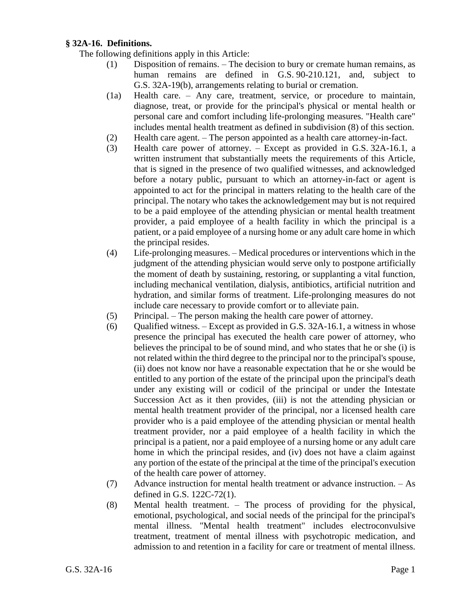## **§ 32A-16. Definitions.**

The following definitions apply in this Article:

- (1) Disposition of remains. The decision to bury or cremate human remains, as human remains are defined in G.S. 90-210.121, and, subject to G.S. 32A-19(b), arrangements relating to burial or cremation.
- (1a) Health care. Any care, treatment, service, or procedure to maintain, diagnose, treat, or provide for the principal's physical or mental health or personal care and comfort including life-prolonging measures. "Health care" includes mental health treatment as defined in subdivision (8) of this section.
- (2) Health care agent. The person appointed as a health care attorney-in-fact.
- (3) Health care power of attorney. Except as provided in G.S. 32A-16.1, a written instrument that substantially meets the requirements of this Article, that is signed in the presence of two qualified witnesses, and acknowledged before a notary public, pursuant to which an attorney-in-fact or agent is appointed to act for the principal in matters relating to the health care of the principal. The notary who takes the acknowledgement may but is not required to be a paid employee of the attending physician or mental health treatment provider, a paid employee of a health facility in which the principal is a patient, or a paid employee of a nursing home or any adult care home in which the principal resides.
- (4) Life-prolonging measures. Medical procedures or interventions which in the judgment of the attending physician would serve only to postpone artificially the moment of death by sustaining, restoring, or supplanting a vital function, including mechanical ventilation, dialysis, antibiotics, artificial nutrition and hydration, and similar forms of treatment. Life-prolonging measures do not include care necessary to provide comfort or to alleviate pain.
- (5) Principal. The person making the health care power of attorney.
- (6) Qualified witness. Except as provided in G.S. 32A-16.1, a witness in whose presence the principal has executed the health care power of attorney, who believes the principal to be of sound mind, and who states that he or she (i) is not related within the third degree to the principal nor to the principal's spouse, (ii) does not know nor have a reasonable expectation that he or she would be entitled to any portion of the estate of the principal upon the principal's death under any existing will or codicil of the principal or under the Intestate Succession Act as it then provides, (iii) is not the attending physician or mental health treatment provider of the principal, nor a licensed health care provider who is a paid employee of the attending physician or mental health treatment provider, nor a paid employee of a health facility in which the principal is a patient, nor a paid employee of a nursing home or any adult care home in which the principal resides, and (iv) does not have a claim against any portion of the estate of the principal at the time of the principal's execution of the health care power of attorney.
- (7) Advance instruction for mental health treatment or advance instruction. As defined in G.S. 122C-72(1).
- (8) Mental health treatment. The process of providing for the physical, emotional, psychological, and social needs of the principal for the principal's mental illness. "Mental health treatment" includes electroconvulsive treatment, treatment of mental illness with psychotropic medication, and admission to and retention in a facility for care or treatment of mental illness.